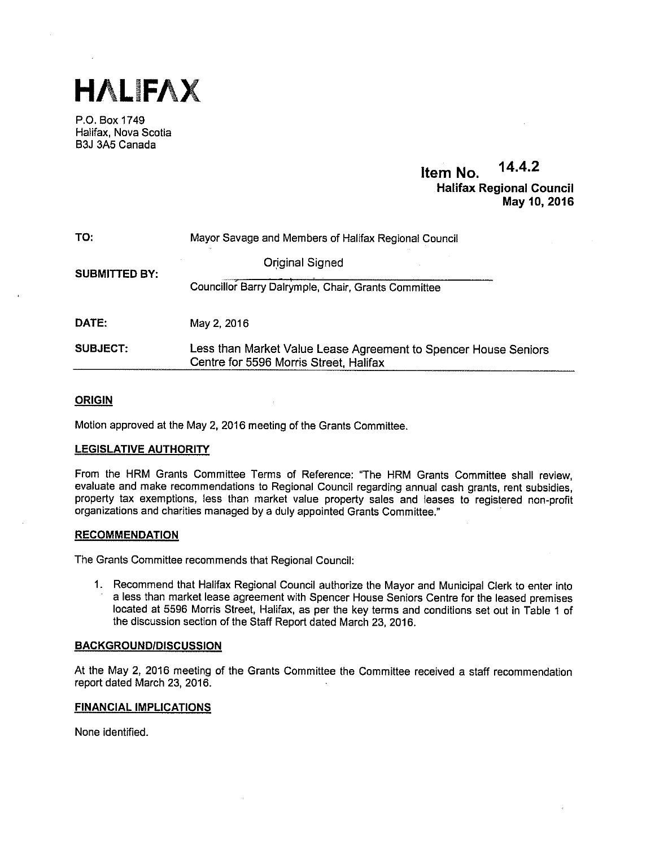

P.O. Box 1749 Halifax, Nova Scotia B3J 3A5 Canada

# Item No. 14.4.2 Halifax Regional Council May 10, 2016

| TO:                  | Mayor Savage and Members of Halifax Regional Council                                                      |  |
|----------------------|-----------------------------------------------------------------------------------------------------------|--|
| <b>SUBMITTED BY:</b> | <b>Original Signed</b>                                                                                    |  |
|                      | Councillor Barry Dalrymple, Chair, Grants Committee                                                       |  |
| DATE:                | May 2, 2016                                                                                               |  |
| <b>SUBJECT:</b>      | Less than Market Value Lease Agreement to Spencer House Seniors<br>Centre for 5596 Morris Street, Halifax |  |

## **ORIGIN**

Motion approved at the May 2, 2016 meeting of the Grants Committee.

## LEGISLATIVE AUTHORITY

From the HRM Grants Committee Terms of Reference: "The HRM Grants Committee shall review, evaluate and make recommendations to Regional Council regarding annual cash grants, rent subsidies, property tax exemptions, less than market value property sales and leases to registered non-profit organizations and charities managed by <sup>a</sup> duly appointed Grants Committee."

### **RECOMMENDATION**

The Grants Committee recommends that Regional Council:

1. Recommend that Halifax Regional Council authorize the Mayor and Municipal Clerk to enter into a less than market lease agreement with Spencer House Seniors Centre for the leased premises located at 5596 Morris Street, Halifax, as per the key terms and conditions set out in Table <sup>1</sup> of the discussion section of the Staff Report dated March 23, 2016.

### BACKGROUNDIDISCUSSION

At the May 2, 2016 meeting of the Grants Committee the Committee received a staff recommendation report dated March 23, 2016.

### FINANCIAL IMPLICATIONS

None identified.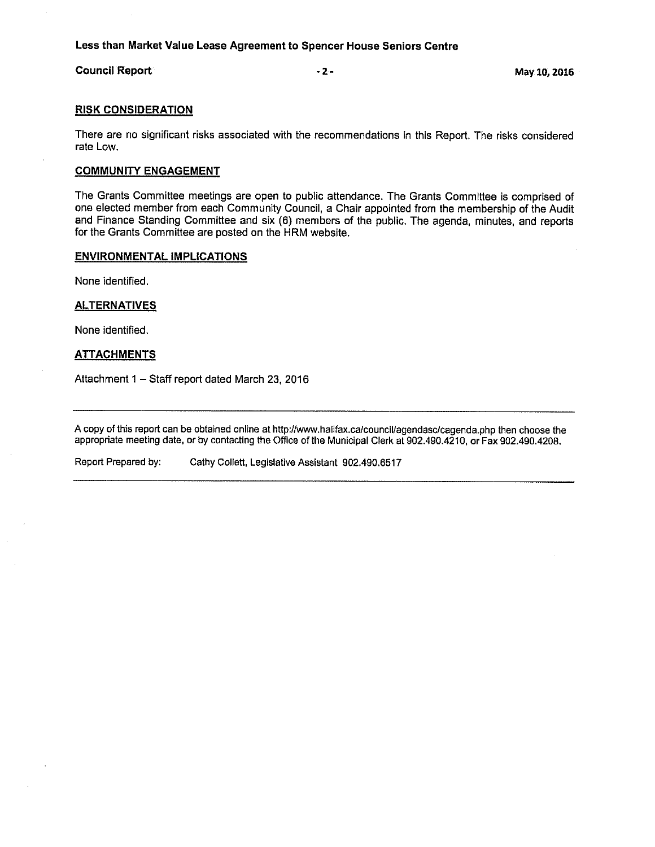# Less than Market Value Lease Agreement to Spencer House Seniors Centre

## Council Report **Council Report** 2-

### RISK CONSIDERATION

There are no significant risks associated with the recommendations in this Report. The risks considered rate Low.

## COMMUNITY ENGAGEMENT

The Grants Committee meetings are open to public attendance. The Grants Committee is comprised of one elected member from each Community Council, a Chair appointed from the membership of the Audit and Finance Standing Committee and six (6) members of the public. The agenda, minutes, and reports for the Grants Committee are posted on the HRM website.

### ENVIRONMENTAL IMPLICATIONS

None identified.

### **ALTERNATIVES**

None identified.

### **ATTACHMENTS**

Attachment <sup>1</sup> — Staff report dated March 23, 2016

A copy of this report can be obtained online at http://www.halifax.ca/council/agendasc/cagenda.php then choose the appropriate meeting date, or by contacting the Office of the Municipal Clerk at 902.490.4210, or Fax 902.490.4208.

Report Prepared by: Cathy Collett, Legislative Assistant 902.490.6517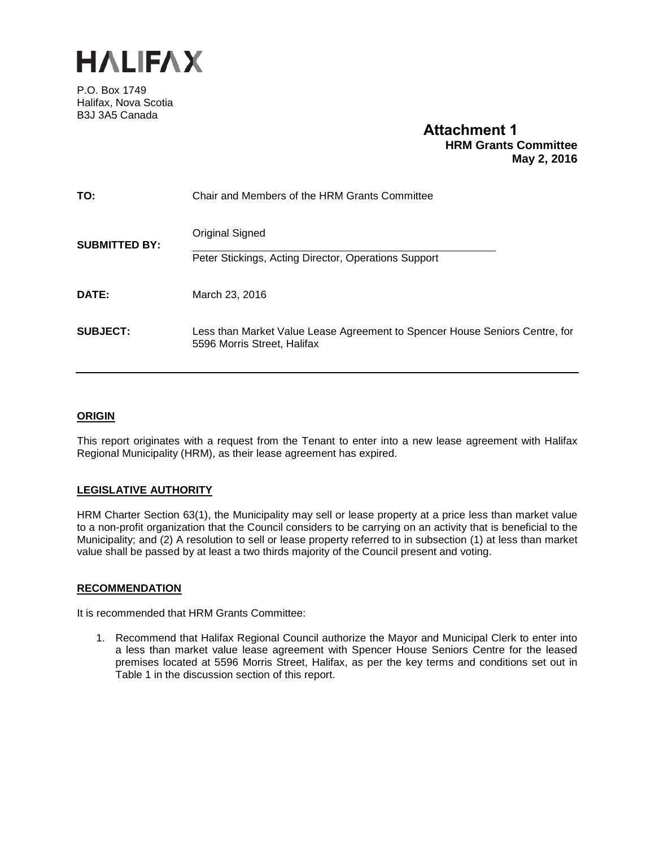

P.O. Box 1749 Halifax, Nova Scotia B3J 3A5 Canada

# **Attachment 1 HRM Grants Committee May 2, 2016**

| TO:                  | Chair and Members of the HRM Grants Committee                                                              |
|----------------------|------------------------------------------------------------------------------------------------------------|
| <b>SUBMITTED BY:</b> | Original Signed                                                                                            |
|                      | Peter Stickings, Acting Director, Operations Support                                                       |
| DATE:                | March 23, 2016                                                                                             |
| <b>SUBJECT:</b>      | Less than Market Value Lease Agreement to Spencer House Seniors Centre, for<br>5596 Morris Street, Halifax |

## **ORIGIN**

This report originates with a request from the Tenant to enter into a new lease agreement with Halifax Regional Municipality (HRM), as their lease agreement has expired.

# **LEGISLATIVE AUTHORITY**

HRM Charter Section 63(1), the Municipality may sell or lease property at a price less than market value to a non-profit organization that the Council considers to be carrying on an activity that is beneficial to the Municipality; and (2) A resolution to sell or lease property referred to in subsection (1) at less than market value shall be passed by at least a two thirds majority of the Council present and voting.

## **RECOMMENDATION**

It is recommended that HRM Grants Committee:

1. Recommend that Halifax Regional Council authorize the Mayor and Municipal Clerk to enter into a less than market value lease agreement with Spencer House Seniors Centre for the leased premises located at 5596 Morris Street, Halifax, as per the key terms and conditions set out in Table 1 in the discussion section of this report.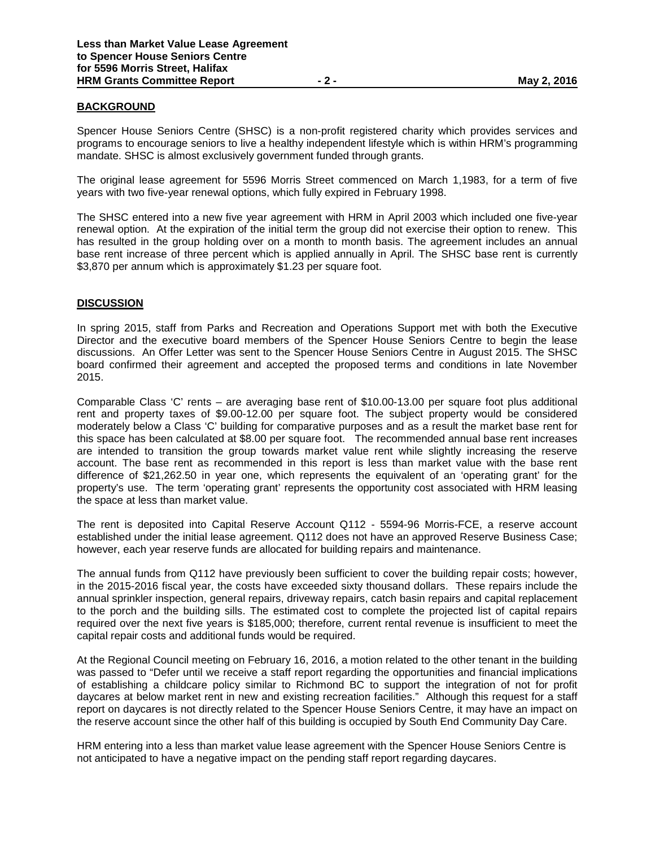### **BACKGROUND**

Spencer House Seniors Centre (SHSC) is a non-profit registered charity which provides services and programs to encourage seniors to live a healthy independent lifestyle which is within HRM's programming mandate. SHSC is almost exclusively government funded through grants.

The original lease agreement for 5596 Morris Street commenced on March 1,1983, for a term of five years with two five-year renewal options, which fully expired in February 1998.

The SHSC entered into a new five year agreement with HRM in April 2003 which included one five-year renewal option. At the expiration of the initial term the group did not exercise their option to renew. This has resulted in the group holding over on a month to month basis. The agreement includes an annual base rent increase of three percent which is applied annually in April. The SHSC base rent is currently \$3,870 per annum which is approximately \$1.23 per square foot.

#### **DISCUSSION**

In spring 2015, staff from Parks and Recreation and Operations Support met with both the Executive Director and the executive board members of the Spencer House Seniors Centre to begin the lease discussions. An Offer Letter was sent to the Spencer House Seniors Centre in August 2015. The SHSC board confirmed their agreement and accepted the proposed terms and conditions in late November 2015.

Comparable Class 'C' rents – are averaging base rent of \$10.00-13.00 per square foot plus additional rent and property taxes of \$9.00-12.00 per square foot. The subject property would be considered moderately below a Class 'C' building for comparative purposes and as a result the market base rent for this space has been calculated at \$8.00 per square foot. The recommended annual base rent increases are intended to transition the group towards market value rent while slightly increasing the reserve account. The base rent as recommended in this report is less than market value with the base rent difference of \$21,262.50 in year one, which represents the equivalent of an 'operating grant' for the property's use. The term 'operating grant' represents the opportunity cost associated with HRM leasing the space at less than market value.

The rent is deposited into Capital Reserve Account Q112 - 5594-96 Morris-FCE, a reserve account established under the initial lease agreement. Q112 does not have an approved Reserve Business Case; however, each year reserve funds are allocated for building repairs and maintenance.

The annual funds from Q112 have previously been sufficient to cover the building repair costs; however, in the 2015-2016 fiscal year, the costs have exceeded sixty thousand dollars. These repairs include the annual sprinkler inspection, general repairs, driveway repairs, catch basin repairs and capital replacement to the porch and the building sills. The estimated cost to complete the projected list of capital repairs required over the next five years is \$185,000; therefore, current rental revenue is insufficient to meet the capital repair costs and additional funds would be required.

At the Regional Council meeting on February 16, 2016, a motion related to the other tenant in the building was passed to "Defer until we receive a staff report regarding the opportunities and financial implications of establishing a childcare policy similar to Richmond BC to support the integration of not for profit daycares at below market rent in new and existing recreation facilities." Although this request for a staff report on daycares is not directly related to the Spencer House Seniors Centre, it may have an impact on the reserve account since the other half of this building is occupied by South End Community Day Care.

HRM entering into a less than market value lease agreement with the Spencer House Seniors Centre is not anticipated to have a negative impact on the pending staff report regarding daycares.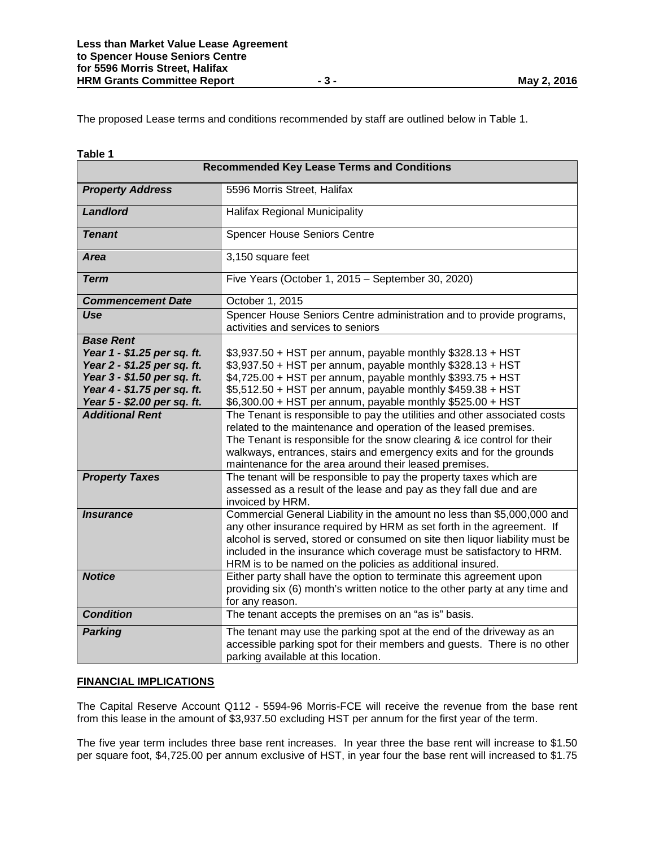The proposed Lease terms and conditions recommended by staff are outlined below in Table 1.

| Table 1                                                                                                                                                                                                                        |                                                                                                                                                                                                                                                                                                                                                                                                                                                                                                                                                                                                                                                                                                                                                                                                                             |  |
|--------------------------------------------------------------------------------------------------------------------------------------------------------------------------------------------------------------------------------|-----------------------------------------------------------------------------------------------------------------------------------------------------------------------------------------------------------------------------------------------------------------------------------------------------------------------------------------------------------------------------------------------------------------------------------------------------------------------------------------------------------------------------------------------------------------------------------------------------------------------------------------------------------------------------------------------------------------------------------------------------------------------------------------------------------------------------|--|
| <b>Recommended Key Lease Terms and Conditions</b>                                                                                                                                                                              |                                                                                                                                                                                                                                                                                                                                                                                                                                                                                                                                                                                                                                                                                                                                                                                                                             |  |
| <b>Property Address</b>                                                                                                                                                                                                        | 5596 Morris Street, Halifax                                                                                                                                                                                                                                                                                                                                                                                                                                                                                                                                                                                                                                                                                                                                                                                                 |  |
| <b>Landlord</b>                                                                                                                                                                                                                | <b>Halifax Regional Municipality</b>                                                                                                                                                                                                                                                                                                                                                                                                                                                                                                                                                                                                                                                                                                                                                                                        |  |
| <b>Tenant</b>                                                                                                                                                                                                                  | <b>Spencer House Seniors Centre</b>                                                                                                                                                                                                                                                                                                                                                                                                                                                                                                                                                                                                                                                                                                                                                                                         |  |
| <b>Area</b>                                                                                                                                                                                                                    | 3,150 square feet                                                                                                                                                                                                                                                                                                                                                                                                                                                                                                                                                                                                                                                                                                                                                                                                           |  |
| <b>Term</b>                                                                                                                                                                                                                    | Five Years (October 1, 2015 - September 30, 2020)                                                                                                                                                                                                                                                                                                                                                                                                                                                                                                                                                                                                                                                                                                                                                                           |  |
| <b>Commencement Date</b>                                                                                                                                                                                                       | October 1, 2015                                                                                                                                                                                                                                                                                                                                                                                                                                                                                                                                                                                                                                                                                                                                                                                                             |  |
| Use                                                                                                                                                                                                                            | Spencer House Seniors Centre administration and to provide programs,<br>activities and services to seniors                                                                                                                                                                                                                                                                                                                                                                                                                                                                                                                                                                                                                                                                                                                  |  |
| <b>Base Rent</b><br>Year 1 - \$1.25 per sq. ft.<br>Year 2 - \$1.25 per sq. ft.<br>Year 3 - \$1.50 per sq. ft.<br>Year 4 - \$1.75 per sq. ft.<br>Year 5 - \$2.00 per sq. ft.<br><b>Additional Rent</b><br><b>Property Taxes</b> | \$3,937.50 + HST per annum, payable monthly \$328.13 + HST<br>\$3,937.50 + HST per annum, payable monthly \$328.13 + HST<br>\$4,725.00 + HST per annum, payable monthly \$393.75 + HST<br>\$5,512.50 + HST per annum, payable monthly \$459.38 + HST<br>\$6,300.00 + HST per annum, payable monthly \$525.00 + HST<br>The Tenant is responsible to pay the utilities and other associated costs<br>related to the maintenance and operation of the leased premises.<br>The Tenant is responsible for the snow clearing & ice control for their<br>walkways, entrances, stairs and emergency exits and for the grounds<br>maintenance for the area around their leased premises.<br>The tenant will be responsible to pay the property taxes which are<br>assessed as a result of the lease and pay as they fall due and are |  |
| <i><b>Insurance</b></i>                                                                                                                                                                                                        | invoiced by HRM.<br>Commercial General Liability in the amount no less than \$5,000,000 and<br>any other insurance required by HRM as set forth in the agreement. If<br>alcohol is served, stored or consumed on site then liquor liability must be<br>included in the insurance which coverage must be satisfactory to HRM.<br>HRM is to be named on the policies as additional insured.                                                                                                                                                                                                                                                                                                                                                                                                                                   |  |
| <b>Notice</b>                                                                                                                                                                                                                  | Either party shall have the option to terminate this agreement upon<br>providing six (6) month's written notice to the other party at any time and<br>for any reason.                                                                                                                                                                                                                                                                                                                                                                                                                                                                                                                                                                                                                                                       |  |
| <b>Condition</b>                                                                                                                                                                                                               | The tenant accepts the premises on an "as is" basis.                                                                                                                                                                                                                                                                                                                                                                                                                                                                                                                                                                                                                                                                                                                                                                        |  |
| <b>Parking</b>                                                                                                                                                                                                                 | The tenant may use the parking spot at the end of the driveway as an<br>accessible parking spot for their members and guests. There is no other<br>parking available at this location.                                                                                                                                                                                                                                                                                                                                                                                                                                                                                                                                                                                                                                      |  |

### **FINANCIAL IMPLICATIONS**

The Capital Reserve Account Q112 - 5594-96 Morris-FCE will receive the revenue from the base rent from this lease in the amount of \$3,937.50 excluding HST per annum for the first year of the term.

The five year term includes three base rent increases. In year three the base rent will increase to \$1.50 per square foot, \$4,725.00 per annum exclusive of HST, in year four the base rent will increased to \$1.75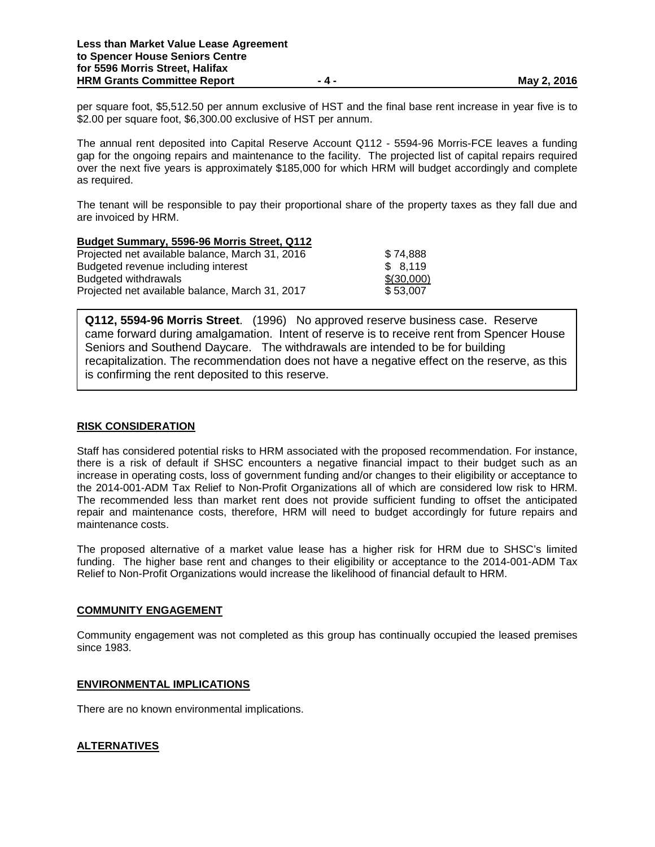per square foot, \$5,512.50 per annum exclusive of HST and the final base rent increase in year five is to \$2.00 per square foot, \$6,300.00 exclusive of HST per annum.

The annual rent deposited into Capital Reserve Account Q112 - 5594-96 Morris-FCE leaves a funding gap for the ongoing repairs and maintenance to the facility. The projected list of capital repairs required over the next five years is approximately \$185,000 for which HRM will budget accordingly and complete as required.

The tenant will be responsible to pay their proportional share of the property taxes as they fall due and are invoiced by HRM.

| Budget Summary, 5596-96 Morris Street, Q112     |            |
|-------------------------------------------------|------------|
| Projected net available balance, March 31, 2016 | \$74,888   |
| Budgeted revenue including interest             | \$8,119    |
| Budgeted withdrawals                            | \$(30,000) |
| Projected net available balance, March 31, 2017 | \$53,007   |

 is confirming the rent deposited to this reserve.**Q112, 5594-96 Morris Street**. (1996) No approved reserve business case. Reserve came forward during amalgamation. Intent of reserve is to receive rent from Spencer House Seniors and Southend Daycare. The withdrawals are intended to be for building recapitalization. The recommendation does not have a negative effect on the reserve, as this

## **RISK CONSIDERATION**

Staff has considered potential risks to HRM associated with the proposed recommendation. For instance, there is a risk of default if SHSC encounters a negative financial impact to their budget such as an increase in operating costs, loss of government funding and/or changes to their eligibility or acceptance to the 2014-001-ADM Tax Relief to Non-Profit Organizations all of which are considered low risk to HRM. The recommended less than market rent does not provide sufficient funding to offset the anticipated repair and maintenance costs, therefore, HRM will need to budget accordingly for future repairs and maintenance costs.

The proposed alternative of a market value lease has a higher risk for HRM due to SHSC's limited funding. The higher base rent and changes to their eligibility or acceptance to the 2014-001-ADM Tax Relief to Non-Profit Organizations would increase the likelihood of financial default to HRM.

### **COMMUNITY ENGAGEMENT**

Community engagement was not completed as this group has continually occupied the leased premises since 1983.

## **ENVIRONMENTAL IMPLICATIONS**

There are no known environmental implications.

## **ALTERNATIVES**